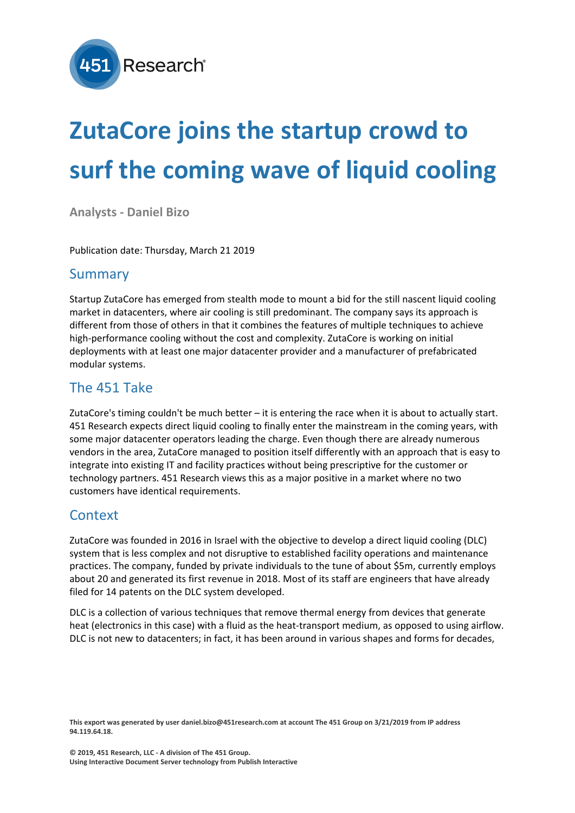

# **ZutaCore joins the startup crowd to surf the coming wave of liquid cooling**

**Analysts - Daniel Bizo**

Publication date: Thursday, March 21 2019

### Summary

Startup ZutaCore has emerged from stealth mode to mount a bid for the still nascent liquid cooling market in datacenters, where air cooling is still predominant. The company says its approach is different from those of others in that it combines the features of multiple techniques to achieve high-performance cooling without the cost and complexity. ZutaCore is working on initial deployments with at least one major datacenter provider and a manufacturer of prefabricated modular systems.

#### The 451 Take

ZutaCore's timing couldn't be much better – it is entering the race when it is about to actually start. 451 Research expects direct liquid cooling to finally enter the mainstream in the coming years, with some major datacenter operators leading the charge. Even though there are already numerous vendors in the area, ZutaCore managed to position itself differently with an approach that is easy to integrate into existing IT and facility practices without being prescriptive for the customer or technology partners. 451 Research views this as a major positive in a market where no two customers have identical requirements.

#### **Context**

ZutaCore was founded in 2016 in Israel with the objective to develop a direct liquid cooling (DLC) system that is less complex and not disruptive to established facility operations and maintenance practices. The company, funded by private individuals to the tune of about \$5m, currently employs about 20 and generated its first revenue in 2018. Most of its staff are engineers that have already filed for 14 patents on the DLC system developed.

DLC is a collection of various techniques that remove thermal energy from devices that generate heat (electronics in this case) with a fluid as the heat-transport medium, as opposed to using airflow. DLC is not new to datacenters; in fact, it has been around in various shapes and forms for decades,

This export was generated by user daniel.bizo@451research.com at account The 451 Group on 3/21/2019 from IP address **94.119.64.18.**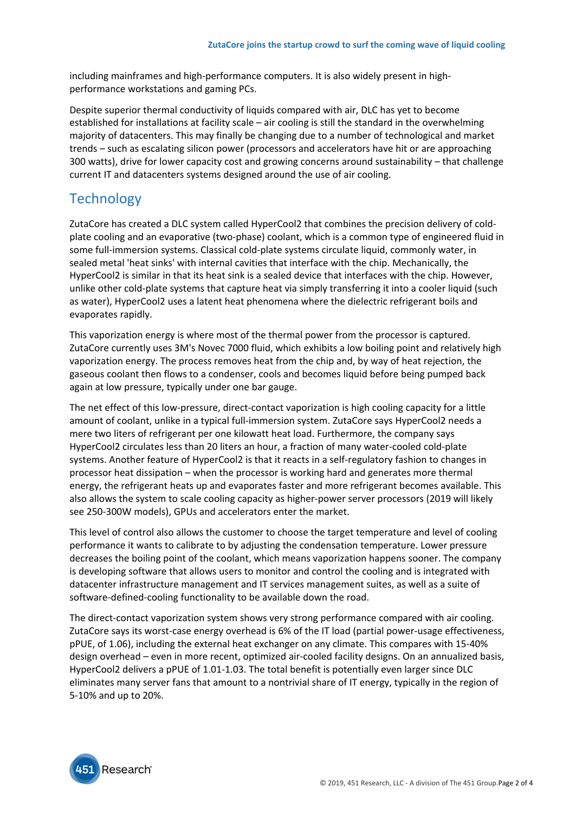including mainframes and high-performance computers. It is also widely present in highperformance workstations and gaming PCs.

Despite superior thermal conductivity of liquids compared with air, DLC has yet to become established for installations at facility scale – air cooling is still the standard in the overwhelming majority of datacenters. This may finally be changing due to a number of technological and market trends – such as escalating silicon power (processors and accelerators have hit or are approaching 300 watts), drive for lower capacity cost and growing concerns around sustainability – that challenge current IT and datacenters systems designed around the use of air cooling.

## **Technology**

ZutaCore has created a DLC system called HyperCool2 that combines the precision delivery of coldplate cooling and an evaporative (two-phase) coolant, which is a common type of engineered fluid in some full-immersion systems. Classical cold-plate systems circulate liquid, commonly water, in sealed metal 'heat sinks' with internal cavities that interface with the chip. Mechanically, the HyperCool2 is similar in that its heat sink is a sealed device that interfaces with the chip. However, unlike other cold-plate systems that capture heat via simply transferring it into a cooler liquid (such as water), HyperCool2 uses a latent heat phenomena where the dielectric refrigerant boils and evaporates rapidly.

This vaporization energy is where most of the thermal power from the processor is captured. ZutaCore currently uses 3M's Novec 7000 fluid, which exhibits a low boiling point and relatively high vaporization energy. The process removes heat from the chip and, by way of heat rejection, the gaseous coolant then flows to a condenser, cools and becomes liquid before being pumped back again at low pressure, typically under one bar gauge.

The net effect of this low-pressure, direct-contact vaporization is high cooling capacity for a little amount of coolant, unlike in a typical full-immersion system. ZutaCore says HyperCool2 needs a mere two liters of refrigerant per one kilowatt heat load. Furthermore, the company says HyperCool2 circulates less than 20 liters an hour, a fraction of many water-cooled cold-plate systems. Another feature of HyperCool2 is that it reacts in a self-regulatory fashion to changes in processor heat dissipation – when the processor is working hard and generates more thermal energy, the refrigerant heats up and evaporates faster and more refrigerant becomes available. This also allows the system to scale cooling capacity as higher-power server processors (2019 will likely see 250-300W models), GPUs and accelerators enter the market.

This level of control also allows the customer to choose the target temperature and level of cooling performance it wants to calibrate to by adjusting the condensation temperature. Lower pressure decreases the boiling point of the coolant, which means vaporization happens sooner. The company is developing software that allows users to monitor and control the cooling and is integrated with datacenter infrastructure management and IT services management suites, as well as a suite of software-defined-cooling functionality to be available down the road.

The direct-contact vaporization system shows very strong performance compared with air cooling. ZutaCore says its worst-case energy overhead is 6% of the IT load (partial power-usage effectiveness, pPUE, of 1.06), including the external heat exchanger on any climate. This compares with 15-40% design overhead – even in more recent, optimized air-cooled facility designs. On an annualized basis, HyperCool2 delivers a pPUE of 1.01-1.03. The total benefit is potentially even larger since DLC eliminates many server fans that amount to a nontrivial share of IT energy, typically in the region of 5-10% and up to 20%.

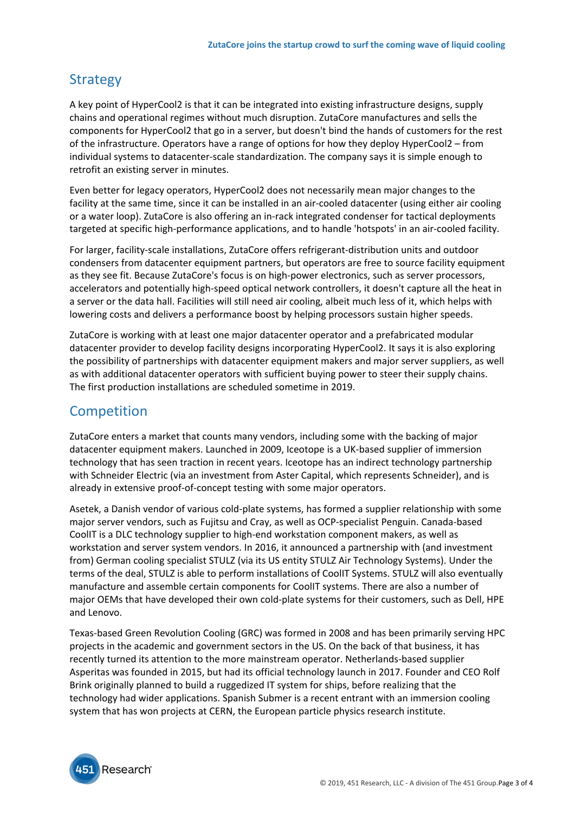# **Strategy**

A key point of HyperCool2 is that it can be integrated into existing infrastructure designs, supply chains and operational regimes without much disruption. ZutaCore manufactures and sells the components for HyperCool2 that go in a server, but doesn't bind the hands of customers for the rest of the infrastructure. Operators have a range of options for how they deploy HyperCool2 – from individual systems to datacenter-scale standardization. The company says it is simple enough to retrofit an existing server in minutes.

Even better for legacy operators, HyperCool2 does not necessarily mean major changes to the facility at the same time, since it can be installed in an air-cooled datacenter (using either air cooling or a water loop). ZutaCore is also offering an in-rack integrated condenser for tactical deployments targeted at specific high-performance applications, and to handle 'hotspots' in an air-cooled facility.

For larger, facility-scale installations, ZutaCore offers refrigerant-distribution units and outdoor condensers from datacenter equipment partners, but operators are free to source facility equipment as they see fit. Because ZutaCore's focus is on high-power electronics, such as server processors, accelerators and potentially high-speed optical network controllers, it doesn't capture all the heat in a server or the data hall. Facilities will still need air cooling, albeit much less of it, which helps with lowering costs and delivers a performance boost by helping processors sustain higher speeds.

ZutaCore is working with at least one major datacenter operator and a prefabricated modular datacenter provider to develop facility designs incorporating HyperCool2. It says it is also exploring the possibility of partnerships with datacenter equipment makers and major server suppliers, as well as with additional datacenter operators with sufficient buying power to steer their supply chains. The first production installations are scheduled sometime in 2019.

# **Competition**

ZutaCore enters a market that counts many vendors, including some with the backing of major datacenter equipment makers. Launched in 2009, Iceotope is a UK-based supplier of immersion technology that has seen traction in recent years. Iceotope has an indirect technology partnership with Schneider Electric (via an investment from Aster Capital, which represents Schneider), and is already in extensive proof-of-concept testing with some major operators.

Asetek, a Danish vendor of various cold-plate systems, has formed a supplier relationship with some major server vendors, such as Fujitsu and Cray, as well as OCP-specialist Penguin. Canada-based CoolIT is a DLC technology supplier to high-end workstation component makers, as well as workstation and server system vendors. In 2016, it announced a partnership with (and investment from) German cooling specialist STULZ (via its US entity STULZ Air Technology Systems). Under the terms of the deal, STULZ is able to perform installations of CoolIT Systems. STULZ will also eventually manufacture and assemble certain components for CoolIT systems. There are also a number of major OEMs that have developed their own cold-plate systems for their customers, such as Dell, HPE and Lenovo.

Texas-based Green Revolution Cooling (GRC) was formed in 2008 and has been primarily serving HPC projects in the academic and government sectors in the US. On the back of that business, it has recently turned its attention to the more mainstream operator. Netherlands-based supplier Asperitas was founded in 2015, but had its official technology launch in 2017. Founder and CEO Rolf Brink originally planned to build a ruggedized IT system for ships, before realizing that the technology had wider applications. Spanish Submer is a recent entrant with an immersion cooling system that has won projects at CERN, the European particle physics research institute.